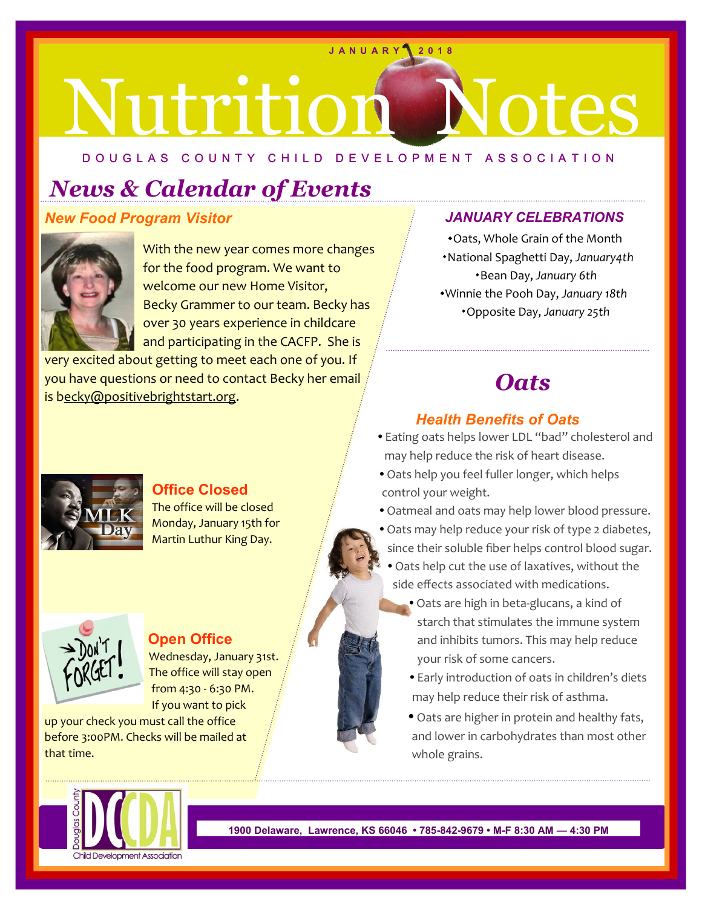## nt es **J A N U A R Y 2 0 1 8**

#### D O U G L A S C O U N T Y C H I L D D E V E L O P M E N T A S S O C I A T I O N

.

### *News & Calendar of Events*

#### *New Food Program Visitor*



 With the new year comes more changes for the food program. We want to welcome our new Home Visitor, Becky Grammer to our team. Becky has over 30 years experience in childcare and participating in the CACFP. She is

very excited about getting to meet each one of you. If you have questions or need to contact Becky her email is becky@positivebrightstart.org.

#### *JANUARY CELEBRATIONS*

\*Oats, Whole Grain of the Month National Spaghetti Day, *January4th* Bean Day, *January 6th* Winnie the Pooh Day, *January 18th* Opposite Day, *January 25th*

#### *Oats*

#### *Health Benefits of Oats*

- Eating oats helps lower LDL "bad" cholesterol and may help reduce the risk of heart disease.
- Oats help you feel fuller longer, which helps control your weight.
- Oatmeal and oats may help lower blood pressure.
- Oats may help reduce your risk of type 2 diabetes, since their soluble fiber helps control blood sugar.
- Oats help cut the use of laxatives, without the side effects associated with medications.
	- Oats are high in beta-glucans, a kind of starch that stimulates the immune system and inhibits tumors. This may help reduce your risk of some cancers.
	- Early introduction of oats in children's diets may help reduce their risk of asthma.
	- Oats are higher in protein and healthy fats, and lower in carbohydrates than most other whole grains.



**1900 Delaware, Lawrence, KS 66046 • 785-842-9679 • M-F 8:30 AM — 4:30 PM** 



#### **Office Closed**

 The office will be closed Monday, January 15th for Martin Luthur King Day.





#### **Open Office**

 Wednesday, January 31st. The office will stay open from 4:30 - 6:30 PM. If you want to pick

up your check you must call the office before 3:00PM. Checks will be mailed at that time.